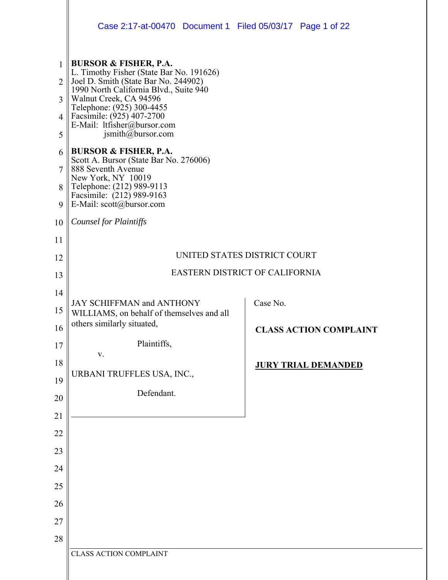|                     | Case 2:17-at-00470 Document 1 Filed 05/03/17 Page 1 of 22                          |                                |
|---------------------|------------------------------------------------------------------------------------|--------------------------------|
| $\mathbf{1}$        | <b>BURSOR &amp; FISHER, P.A.</b>                                                   |                                |
| $\overline{2}$      | L. Timothy Fisher (State Bar No. 191626)<br>Joel D. Smith (State Bar No. 244902)   |                                |
| 3                   | 1990 North California Blvd., Suite 940<br>Walnut Creek, CA 94596                   |                                |
|                     | Telephone: (925) 300-4455                                                          |                                |
| $\overline{4}$<br>5 | Facsimile: (925) 407-2700<br>E-Mail: ltfisher@bursor.com<br>$j$ smith@bursor.com   |                                |
| 6                   | <b>BURSOR &amp; FISHER, P.A.</b>                                                   |                                |
| $\overline{7}$      | Scott A. Bursor (State Bar No. 276006)<br>888 Seventh Avenue<br>New York, NY 10019 |                                |
| 8                   | Telephone: (212) 989-9113                                                          |                                |
| 9                   | Facsimile: (212) 989-9163<br>E-Mail: $scott@bursor.com$                            |                                |
| 10                  | <b>Counsel for Plaintiffs</b>                                                      |                                |
| 11                  |                                                                                    |                                |
| 12                  |                                                                                    | UNITED STATES DISTRICT COURT   |
| 13                  |                                                                                    | EASTERN DISTRICT OF CALIFORNIA |
| 14                  |                                                                                    |                                |
| 15                  | JAY SCHIFFMAN and ANTHONY<br>WILLIAMS, on behalf of themselves and all             | Case No.                       |
| 16                  | others similarly situated,                                                         | <b>CLASS ACTION COMPLAINT</b>  |
| 17                  | Plaintiffs,<br>V.                                                                  |                                |
| 18                  |                                                                                    | <b>JURY TRIAL DEMANDED</b>     |
| 19                  | URBANI TRUFFLES USA, INC.,                                                         |                                |
| 20                  | Defendant.                                                                         |                                |
| 21                  |                                                                                    |                                |
| 22                  |                                                                                    |                                |
| 23                  |                                                                                    |                                |
| 24                  |                                                                                    |                                |
| 25                  |                                                                                    |                                |
| 26                  |                                                                                    |                                |
| 27                  |                                                                                    |                                |
| 28                  |                                                                                    |                                |
|                     | <b>CLASS ACTION COMPLAINT</b>                                                      |                                |
|                     |                                                                                    |                                |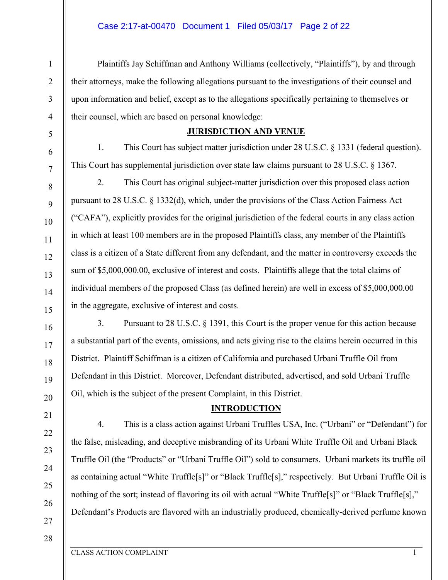Plaintiffs Jay Schiffman and Anthony Williams (collectively, "Plaintiffs"), by and through their attorneys, make the following allegations pursuant to the investigations of their counsel and upon information and belief, except as to the allegations specifically pertaining to themselves or their counsel, which are based on personal knowledge:

## **JURISDICTION AND VENUE**

1. This Court has subject matter jurisdiction under 28 U.S.C. § 1331 (federal question). This Court has supplemental jurisdiction over state law claims pursuant to 28 U.S.C. § 1367.

2. This Court has original subject-matter jurisdiction over this proposed class action pursuant to 28 U.S.C. § 1332(d), which, under the provisions of the Class Action Fairness Act ("CAFA"), explicitly provides for the original jurisdiction of the federal courts in any class action in which at least 100 members are in the proposed Plaintiffs class, any member of the Plaintiffs class is a citizen of a State different from any defendant, and the matter in controversy exceeds the sum of \$5,000,000.00, exclusive of interest and costs. Plaintiffs allege that the total claims of individual members of the proposed Class (as defined herein) are well in excess of \$5,000,000.00 in the aggregate, exclusive of interest and costs.

3. Pursuant to 28 U.S.C. § 1391, this Court is the proper venue for this action because a substantial part of the events, omissions, and acts giving rise to the claims herein occurred in this District. Plaintiff Schiffman is a citizen of California and purchased Urbani Truffle Oil from Defendant in this District. Moreover, Defendant distributed, advertised, and sold Urbani Truffle Oil, which is the subject of the present Complaint, in this District.

# **INTRODUCTION**

4. This is a class action against Urbani Truffles USA, Inc. ("Urbani" or "Defendant") for the false, misleading, and deceptive misbranding of its Urbani White Truffle Oil and Urbani Black Truffle Oil (the "Products" or "Urbani Truffle Oil") sold to consumers. Urbani markets its truffle oil as containing actual "White Truffle[s]" or "Black Truffle[s]," respectively. But Urbani Truffle Oil is nothing of the sort; instead of flavoring its oil with actual "White Truffle<sup>[s]"</sup> or "Black Truffle<sup>[s]</sup>," Defendant's Products are flavored with an industrially produced, chemically-derived perfume known

1

2

3

4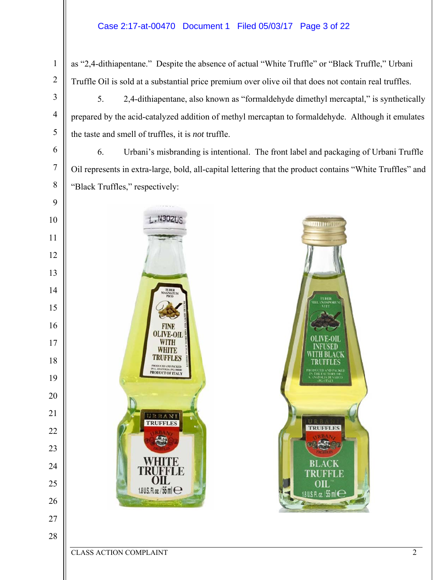# Case 2:17-at-00470 Document 1 Filed 05/03/17 Page 3 of 22

as "2,4-dithiapentane." Despite the absence of actual "White Truffle" or "Black Truffle," Urbani Truffle Oil is sold at a substantial price premium over olive oil that does not contain real truffles.

5. 2,4-dithiapentane, also known as "formaldehyde dimethyl mercaptal," is synthetically prepared by the acid-catalyzed addition of methyl mercaptan to formaldehyde. Although it emulates the taste and smell of truffles, it is *not* truffle.

6. Urbani's misbranding is intentional. The front label and packaging of Urbani Truffle Oil represents in extra-large, bold, all-capital lettering that the product contains "White Truffles" and "Black Truffles," respectively:



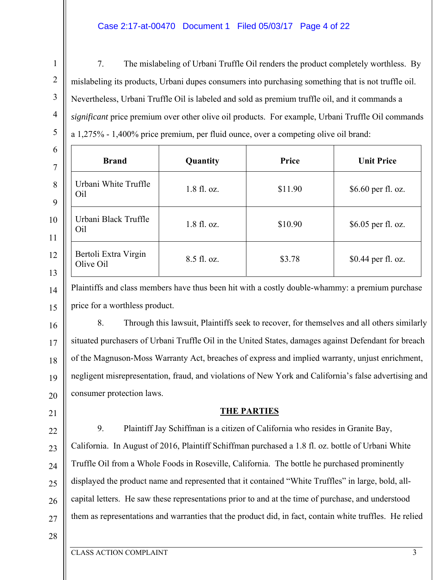## Case 2:17-at-00470 Document 1 Filed 05/03/17 Page 4 of 22

7. The mislabeling of Urbani Truffle Oil renders the product completely worthless. By mislabeling its products, Urbani dupes consumers into purchasing something that is not truffle oil. Nevertheless, Urbani Truffle Oil is labeled and sold as premium truffle oil, and it commands a *significant* price premium over other olive oil products. For example, Urbani Truffle Oil commands a 1,275% - 1,400% price premium, per fluid ounce, over a competing olive oil brand:

| 6<br>$\overline{7}$ | <b>Brand</b>                      | Quantity    | Price   | <b>Unit Price</b>  |
|---------------------|-----------------------------------|-------------|---------|--------------------|
| 8<br>9              | Urbani White Truffle<br>Oil       | 1.8 fl. oz. | \$11.90 | \$6.60 per fl. oz. |
| 10<br>11            | Urbani Black Truffle<br>Oil       | 1.8 fl. oz. | \$10.90 | \$6.05 per fl. oz. |
| 12<br>13            | Bertoli Extra Virgin<br>Olive Oil | 8.5 fl. oz. | \$3.78  | \$0.44 per fl. oz. |

Plaintiffs and class members have thus been hit with a costly double-whammy: a premium purchase price for a worthless product.

16 17 18 19 20 8. Through this lawsuit, Plaintiffs seek to recover, for themselves and all others similarly situated purchasers of Urbani Truffle Oil in the United States, damages against Defendant for breach of the Magnuson-Moss Warranty Act, breaches of express and implied warranty, unjust enrichment, negligent misrepresentation, fraud, and violations of New York and California's false advertising and consumer protection laws.

# **THE PARTIES**

22 23 24 25 26 27 9. Plaintiff Jay Schiffman is a citizen of California who resides in Granite Bay, California. In August of 2016, Plaintiff Schiffman purchased a 1.8 fl. oz. bottle of Urbani White Truffle Oil from a Whole Foods in Roseville, California. The bottle he purchased prominently displayed the product name and represented that it contained "White Truffles" in large, bold, allcapital letters. He saw these representations prior to and at the time of purchase, and understood them as representations and warranties that the product did, in fact, contain white truffles. He relied

28

1

2

3

4

5

14

15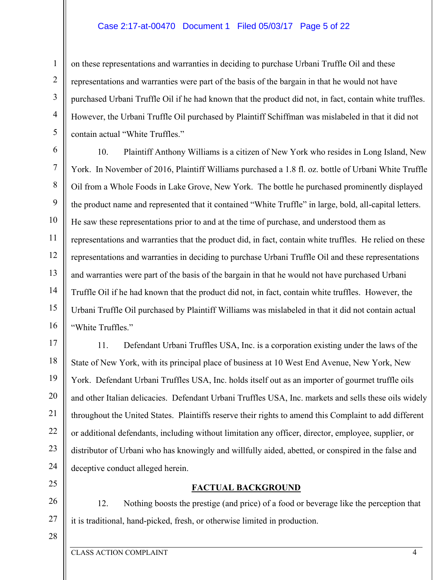#### Case 2:17-at-00470 Document 1 Filed 05/03/17 Page 5 of 22

on these representations and warranties in deciding to purchase Urbani Truffle Oil and these representations and warranties were part of the basis of the bargain in that he would not have purchased Urbani Truffle Oil if he had known that the product did not, in fact, contain white truffles. However, the Urbani Truffle Oil purchased by Plaintiff Schiffman was mislabeled in that it did not contain actual "White Truffles."

6 7 8 9 10 11 12 13 14 15 16 10. Plaintiff Anthony Williams is a citizen of New York who resides in Long Island, New York. In November of 2016, Plaintiff Williams purchased a 1.8 fl. oz. bottle of Urbani White Truffle Oil from a Whole Foods in Lake Grove, New York. The bottle he purchased prominently displayed the product name and represented that it contained "White Truffle" in large, bold, all-capital letters. He saw these representations prior to and at the time of purchase, and understood them as representations and warranties that the product did, in fact, contain white truffles. He relied on these representations and warranties in deciding to purchase Urbani Truffle Oil and these representations and warranties were part of the basis of the bargain in that he would not have purchased Urbani Truffle Oil if he had known that the product did not, in fact, contain white truffles. However, the Urbani Truffle Oil purchased by Plaintiff Williams was mislabeled in that it did not contain actual "White Truffles."

17 18 19 20 21 22 23 24 11. Defendant Urbani Truffles USA, Inc. is a corporation existing under the laws of the State of New York, with its principal place of business at 10 West End Avenue, New York, New York. Defendant Urbani Truffles USA, Inc. holds itself out as an importer of gourmet truffle oils and other Italian delicacies. Defendant Urbani Truffles USA, Inc. markets and sells these oils widely throughout the United States. Plaintiffs reserve their rights to amend this Complaint to add different or additional defendants, including without limitation any officer, director, employee, supplier, or distributor of Urbani who has knowingly and willfully aided, abetted, or conspired in the false and deceptive conduct alleged herein.

25

1

2

3

4

5

26

12. Nothing boosts the prestige (and price) of a food or beverage like the perception that it is traditional, hand-picked, fresh, or otherwise limited in production.

**FACTUAL BACKGROUND** 

28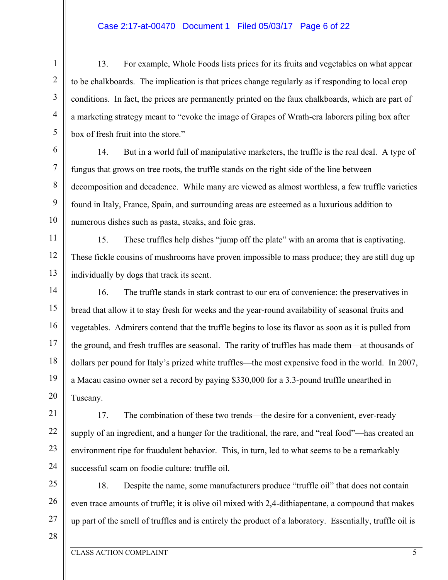### Case 2:17-at-00470 Document 1 Filed 05/03/17 Page 6 of 22

13. For example, Whole Foods lists prices for its fruits and vegetables on what appear to be chalkboards. The implication is that prices change regularly as if responding to local crop conditions. In fact, the prices are permanently printed on the faux chalkboards, which are part of a marketing strategy meant to "evoke the image of Grapes of Wrath-era laborers piling box after box of fresh fruit into the store."

14. But in a world full of manipulative marketers, the truffle is the real deal. A type of fungus that grows on tree roots, the truffle stands on the right side of the line between decomposition and decadence. While many are viewed as almost worthless, a few truffle varieties found in Italy, France, Spain, and surrounding areas are esteemed as a luxurious addition to numerous dishes such as pasta, steaks, and foie gras.

11 12 13 15. These truffles help dishes "jump off the plate" with an aroma that is captivating. These fickle cousins of mushrooms have proven impossible to mass produce; they are still dug up individually by dogs that track its scent.

14 15 16 17 18 19 20 16. The truffle stands in stark contrast to our era of convenience: the preservatives in bread that allow it to stay fresh for weeks and the year-round availability of seasonal fruits and vegetables. Admirers contend that the truffle begins to lose its flavor as soon as it is pulled from the ground, and fresh truffles are seasonal. The rarity of truffles has made them—at thousands of dollars per pound for Italy's prized white truffles—the most expensive food in the world. In 2007, a Macau casino owner set a record by paying \$330,000 for a 3.3-pound truffle unearthed in Tuscany.

21 22 23 24 17. The combination of these two trends—the desire for a convenient, ever-ready supply of an ingredient, and a hunger for the traditional, the rare, and "real food"—has created an environment ripe for fraudulent behavior. This, in turn, led to what seems to be a remarkably successful scam on foodie culture: truffle oil.

25 26 27 18. Despite the name, some manufacturers produce "truffle oil" that does not contain even trace amounts of truffle; it is olive oil mixed with 2,4-dithiapentane, a compound that makes up part of the smell of truffles and is entirely the product of a laboratory. Essentially, truffle oil is

1

2

3

4

5

6

7

8

9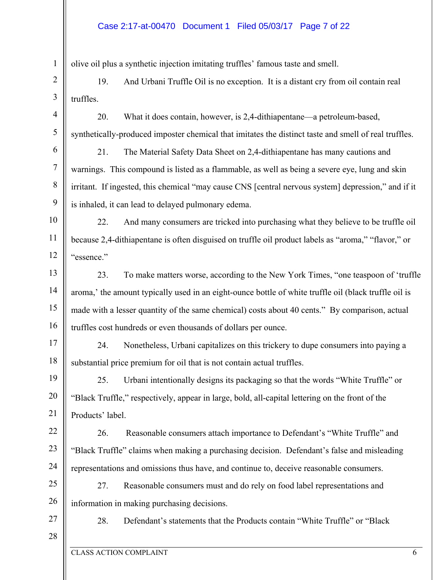olive oil plus a synthetic injection imitating truffles' famous taste and smell.

2 3 19. And Urbani Truffle Oil is no exception. It is a distant cry from oil contain real truffles.

20. What it does contain, however, is 2,4-dithiapentane—a petroleum-based, synthetically-produced imposter chemical that imitates the distinct taste and smell of real truffles.

21. The Material Safety Data Sheet on 2,4-dithiapentane has many cautions and warnings. This compound is listed as a flammable, as well as being a severe eye, lung and skin irritant. If ingested, this chemical "may cause CNS [central nervous system] depression," and if it is inhaled, it can lead to delayed pulmonary edema.

10 11 12 22. And many consumers are tricked into purchasing what they believe to be truffle oil because 2,4-dithiapentane is often disguised on truffle oil product labels as "aroma," "flavor," or "essence."

13 14 15 16 23. To make matters worse, according to the New York Times, "one teaspoon of 'truffle aroma,' the amount typically used in an eight-ounce bottle of white truffle oil (black truffle oil is made with a lesser quantity of the same chemical) costs about 40 cents." By comparison, actual truffles cost hundreds or even thousands of dollars per ounce.

17 18 24. Nonetheless, Urbani capitalizes on this trickery to dupe consumers into paying a substantial price premium for oil that is not contain actual truffles.

19 20 21 25. Urbani intentionally designs its packaging so that the words "White Truffle" or "Black Truffle," respectively, appear in large, bold, all-capital lettering on the front of the Products' label.

22 23 24 26. Reasonable consumers attach importance to Defendant's "White Truffle" and "Black Truffle" claims when making a purchasing decision. Defendant's false and misleading representations and omissions thus have, and continue to, deceive reasonable consumers.

25 26 27. Reasonable consumers must and do rely on food label representations and information in making purchasing decisions.

27 28

1

4

5

6

7

8

9

28. Defendant's statements that the Products contain "White Truffle" or "Black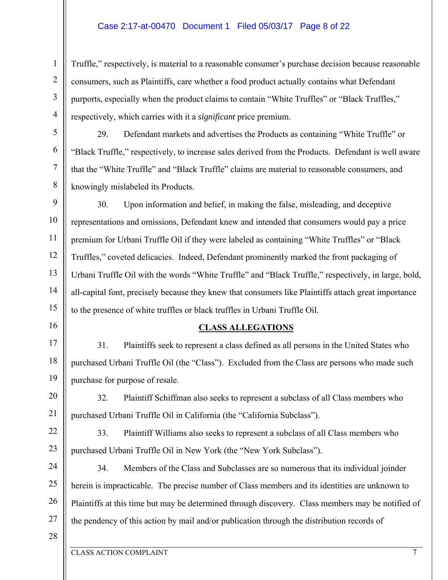## Case 2:17-at-00470 Document 1 Filed 05/03/17 Page 8 of 22

Truffle," respectively, is material to a reasonable consumer's purchase decision because reasonable consumers, such as Plaintiffs, care whether a food product actually contains what Defendant purports, especially when the product claims to contain "White Truffles" or "Black Truffles," respectively, which carries with it a *significant* price premium.

29. Defendant markets and advertises the Products as containing "White Truffle" or "Black Truffle," respectively, to increase sales derived from the Products. Defendant is well aware that the "White Truffle" and "Black Truffle" claims are material to reasonable consumers, and knowingly mislabeled its Products.

9 10 11 12 13 14 15 30. Upon information and belief, in making the false, misleading, and deceptive representations and omissions, Defendant knew and intended that consumers would pay a price premium for Urbani Truffle Oil if they were labeled as containing "White Truffles" or "Black Truffles," coveted delicacies. Indeed, Defendant prominently marked the front packaging of Urbani Truffle Oil with the words "White Truffle" and "Black Truffle," respectively, in large, bold, all-capital font, precisely because they knew that consumers like Plaintiffs attach great importance to the presence of white truffles or black truffles in Urbani Truffle Oil.

#### **CLASS ALLEGATIONS**

17 18 19 31. Plaintiffs seek to represent a class defined as all persons in the United States who purchased Urbani Truffle Oil (the "Class"). Excluded from the Class are persons who made such purchase for purpose of resale.

20 21 32. Plaintiff Schiffman also seeks to represent a subclass of all Class members who purchased Urbani Truffle Oil in California (the "California Subclass").

22 23 33. Plaintiff Williams also seeks to represent a subclass of all Class members who purchased Urbani Truffle Oil in New York (the "New York Subclass").

24 25 26 27 34. Members of the Class and Subclasses are so numerous that its individual joinder herein is impracticable. The precise number of Class members and its identities are unknown to Plaintiffs at this time but may be determined through discovery. Class members may be notified of the pendency of this action by mail and/or publication through the distribution records of

28

1

2

3

4

5

6

7

8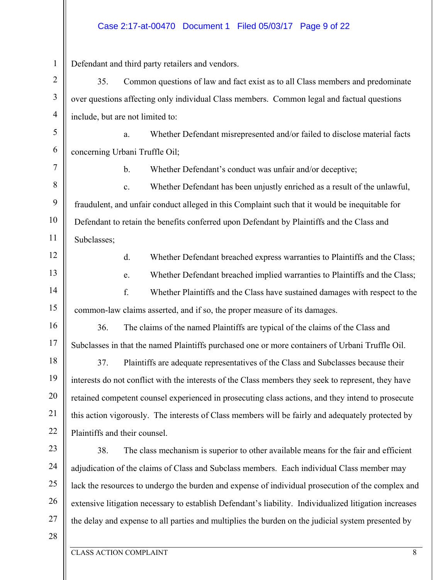### Case 2:17-at-00470 Document 1 Filed 05/03/17 Page 9 of 22

1 2 3 4 5 6 7 8 9 10 11 12 13 14 15 16 17 18 19 20 21 22 23 24 25 26 27 28 Defendant and third party retailers and vendors. 35. Common questions of law and fact exist as to all Class members and predominate over questions affecting only individual Class members. Common legal and factual questions include, but are not limited to: a. Whether Defendant misrepresented and/or failed to disclose material facts concerning Urbani Truffle Oil; b. Whether Defendant's conduct was unfair and/or deceptive; c. Whether Defendant has been unjustly enriched as a result of the unlawful, fraudulent, and unfair conduct alleged in this Complaint such that it would be inequitable for Defendant to retain the benefits conferred upon Defendant by Plaintiffs and the Class and Subclasses; d. Whether Defendant breached express warranties to Plaintiffs and the Class; e. Whether Defendant breached implied warranties to Plaintiffs and the Class; f. Whether Plaintiffs and the Class have sustained damages with respect to the common-law claims asserted, and if so, the proper measure of its damages. 36. The claims of the named Plaintiffs are typical of the claims of the Class and Subclasses in that the named Plaintiffs purchased one or more containers of Urbani Truffle Oil. 37. Plaintiffs are adequate representatives of the Class and Subclasses because their interests do not conflict with the interests of the Class members they seek to represent, they have retained competent counsel experienced in prosecuting class actions, and they intend to prosecute this action vigorously. The interests of Class members will be fairly and adequately protected by Plaintiffs and their counsel. 38. The class mechanism is superior to other available means for the fair and efficient adjudication of the claims of Class and Subclass members. Each individual Class member may lack the resources to undergo the burden and expense of individual prosecution of the complex and extensive litigation necessary to establish Defendant's liability. Individualized litigation increases the delay and expense to all parties and multiplies the burden on the judicial system presented by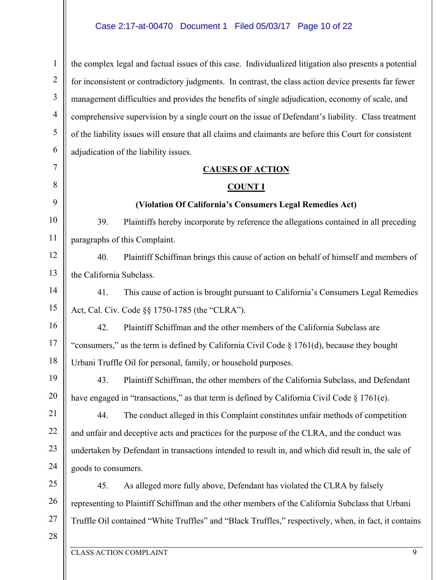### Case 2:17-at-00470 Document 1 Filed 05/03/17 Page 10 of 22

1 2 3 4 5 6 the complex legal and factual issues of this case. Individualized litigation also presents a potential for inconsistent or contradictory judgments. In contrast, the class action device presents far fewer management difficulties and provides the benefits of single adjudication, economy of scale, and comprehensive supervision by a single court on the issue of Defendant's liability. Class treatment of the liability issues will ensure that all claims and claimants are before this Court for consistent adjudication of the liability issues.

#### **CAUSES OF ACTION**

#### **COUNT I**

#### **(Violation Of California's Consumers Legal Remedies Act)**

39. Plaintiffs hereby incorporate by reference the allegations contained in all preceding paragraphs of this Complaint.

12 13 40. Plaintiff Schiffman brings this cause of action on behalf of himself and members of the California Subclass.

41. This cause of action is brought pursuant to California's Consumers Legal Remedies Act, Cal. Civ. Code §§ 1750-1785 (the "CLRA").

16 17 18 42. Plaintiff Schiffman and the other members of the California Subclass are "consumers," as the term is defined by California Civil Code § 1761(d), because they bought Urbani Truffle Oil for personal, family, or household purposes.

43. Plaintiff Schiffman, the other members of the California Subclass, and Defendant have engaged in "transactions," as that term is defined by California Civil Code § 1761(e).

21 22 23 24 44. The conduct alleged in this Complaint constitutes unfair methods of competition and unfair and deceptive acts and practices for the purpose of the CLRA, and the conduct was undertaken by Defendant in transactions intended to result in, and which did result in, the sale of goods to consumers.

25 26 27 45. As alleged more fully above, Defendant has violated the CLRA by falsely representing to Plaintiff Schiffman and the other members of the California Subclass that Urbani Truffle Oil contained "White Truffles" and "Black Truffles," respectively, when, in fact, it contains

28

7

8

9

10

11

14

15

19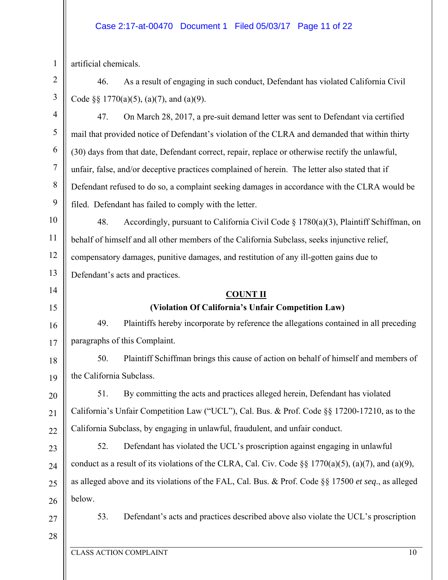## Case 2:17-at-00470 Document 1 Filed 05/03/17 Page 11 of 22

artificial chemicals.

1

2 3 46. As a result of engaging in such conduct, Defendant has violated California Civil Code §§ 1770(a)(5), (a)(7), and (a)(9).

4 5 6 7 8 9 10 11 12 13 14 15 16 17 18 19 20 21 22 23 24 25 47. On March 28, 2017, a pre-suit demand letter was sent to Defendant via certified mail that provided notice of Defendant's violation of the CLRA and demanded that within thirty (30) days from that date, Defendant correct, repair, replace or otherwise rectify the unlawful, unfair, false, and/or deceptive practices complained of herein. The letter also stated that if Defendant refused to do so, a complaint seeking damages in accordance with the CLRA would be filed. Defendant has failed to comply with the letter. 48. Accordingly, pursuant to California Civil Code § 1780(a)(3), Plaintiff Schiffman, on behalf of himself and all other members of the California Subclass, seeks injunctive relief, compensatory damages, punitive damages, and restitution of any ill-gotten gains due to Defendant's acts and practices. **COUNT II (Violation Of California's Unfair Competition Law)**  49. Plaintiffs hereby incorporate by reference the allegations contained in all preceding paragraphs of this Complaint. 50. Plaintiff Schiffman brings this cause of action on behalf of himself and members of the California Subclass. 51. By committing the acts and practices alleged herein, Defendant has violated California's Unfair Competition Law ("UCL"), Cal. Bus. & Prof. Code §§ 17200-17210, as to the California Subclass, by engaging in unlawful, fraudulent, and unfair conduct. 52. Defendant has violated the UCL's proscription against engaging in unlawful conduct as a result of its violations of the CLRA, Cal. Civ. Code  $\S$   $\frac{1770(a)(5)}{2}$ , (a)(7), and (a)(9), as alleged above and its violations of the FAL, Cal. Bus. & Prof. Code §§ 17500 *et seq*., as alleged

26

below.

27

53. Defendant's acts and practices described above also violate the UCL's proscription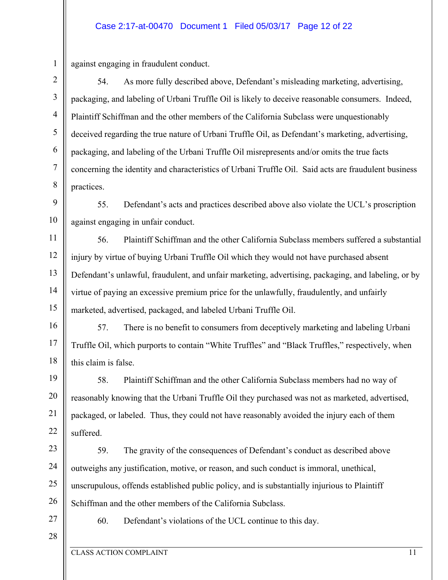2 3 4

5

6

7

8

1

against engaging in fraudulent conduct.

54. As more fully described above, Defendant's misleading marketing, advertising, packaging, and labeling of Urbani Truffle Oil is likely to deceive reasonable consumers. Indeed, Plaintiff Schiffman and the other members of the California Subclass were unquestionably deceived regarding the true nature of Urbani Truffle Oil, as Defendant's marketing, advertising, packaging, and labeling of the Urbani Truffle Oil misrepresents and/or omits the true facts concerning the identity and characteristics of Urbani Truffle Oil. Said acts are fraudulent business practices.

9 10 55. Defendant's acts and practices described above also violate the UCL's proscription against engaging in unfair conduct.

11 12 13 14 15 56. Plaintiff Schiffman and the other California Subclass members suffered a substantial injury by virtue of buying Urbani Truffle Oil which they would not have purchased absent Defendant's unlawful, fraudulent, and unfair marketing, advertising, packaging, and labeling, or by virtue of paying an excessive premium price for the unlawfully, fraudulently, and unfairly marketed, advertised, packaged, and labeled Urbani Truffle Oil.

16 17 18 57. There is no benefit to consumers from deceptively marketing and labeling Urbani Truffle Oil, which purports to contain "White Truffles" and "Black Truffles," respectively, when this claim is false.

19 20 21 22 58. Plaintiff Schiffman and the other California Subclass members had no way of reasonably knowing that the Urbani Truffle Oil they purchased was not as marketed, advertised, packaged, or labeled. Thus, they could not have reasonably avoided the injury each of them suffered.

23 24 25 26 59. The gravity of the consequences of Defendant's conduct as described above outweighs any justification, motive, or reason, and such conduct is immoral, unethical, unscrupulous, offends established public policy, and is substantially injurious to Plaintiff Schiffman and the other members of the California Subclass.

27

60. Defendant's violations of the UCL continue to this day.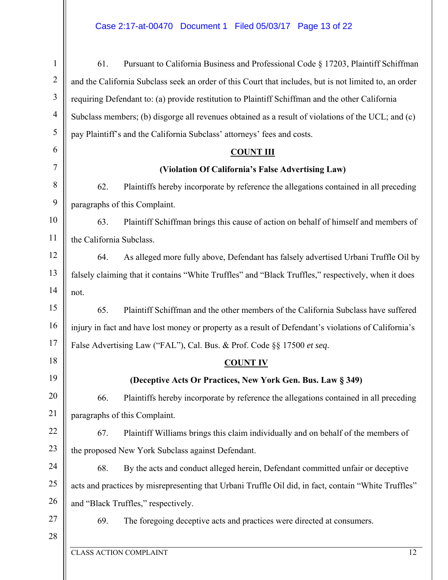# Case 2:17-at-00470 Document 1 Filed 05/03/17 Page 13 of 22

| 1              | 61.<br>Pursuant to California Business and Professional Code § 17203, Plaintiff Schiffman              |
|----------------|--------------------------------------------------------------------------------------------------------|
| $\overline{2}$ | and the California Subclass seek an order of this Court that includes, but is not limited to, an order |
| 3              | requiring Defendant to: (a) provide restitution to Plaintiff Schiffman and the other California        |
| $\overline{4}$ | Subclass members; (b) disgorge all revenues obtained as a result of violations of the UCL; and (c)     |
| 5              | pay Plaintiff's and the California Subclass' attorneys' fees and costs.                                |
| 6              | <b>COUNT III</b>                                                                                       |
| 7              | (Violation Of California's False Advertising Law)                                                      |
| 8              | 62.<br>Plaintiffs hereby incorporate by reference the allegations contained in all preceding           |
| 9              | paragraphs of this Complaint.                                                                          |
| 10             | 63.<br>Plaintiff Schiffman brings this cause of action on behalf of himself and members of             |
| 11             | the California Subclass.                                                                               |
| 12             | 64.<br>As alleged more fully above, Defendant has falsely advertised Urbani Truffle Oil by             |
| 13             | falsely claiming that it contains "White Truffles" and "Black Truffles," respectively, when it does    |
| 14             | not.                                                                                                   |
| 15             | Plaintiff Schiffman and the other members of the California Subclass have suffered<br>65.              |
| 16             | injury in fact and have lost money or property as a result of Defendant's violations of California's   |
| 17             | False Advertising Law ("FAL"), Cal. Bus. & Prof. Code §§ 17500 et seq.                                 |
| 18             | <b>COUNT IV</b>                                                                                        |
| 19             | (Deceptive Acts Or Practices, New York Gen. Bus. Law § 349)                                            |
| 20             | Plaintiffs hereby incorporate by reference the allegations contained in all preceding<br>66.           |
| 21             | paragraphs of this Complaint.                                                                          |
| 22             | Plaintiff Williams brings this claim individually and on behalf of the members of<br>67.               |
| 23             | the proposed New York Subclass against Defendant.                                                      |
| 24             | By the acts and conduct alleged herein, Defendant committed unfair or deceptive<br>68.                 |
| 25             | acts and practices by misrepresenting that Urbani Truffle Oil did, in fact, contain "White Truffles"   |
| 26             | and "Black Truffles," respectively.                                                                    |
| 27             | 69.<br>The foregoing deceptive acts and practices were directed at consumers.                          |
| 28             |                                                                                                        |
|                | <b>CLASS ACTION COMPLAINT</b><br>12                                                                    |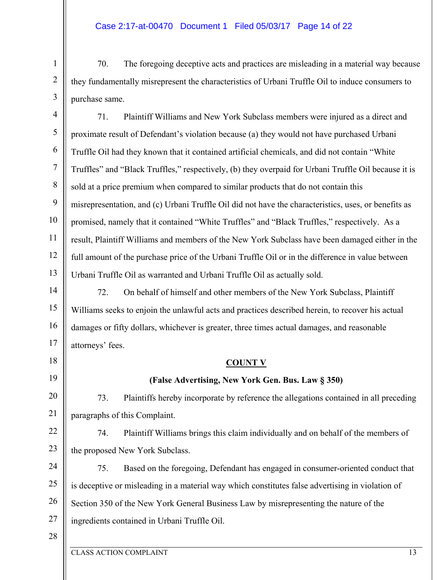## Case 2:17-at-00470 Document 1 Filed 05/03/17 Page 14 of 22

70. The foregoing deceptive acts and practices are misleading in a material way because they fundamentally misrepresent the characteristics of Urbani Truffle Oil to induce consumers to purchase same.

5 6 8 9 10 11 12 13 71. Plaintiff Williams and New York Subclass members were injured as a direct and proximate result of Defendant's violation because (a) they would not have purchased Urbani Truffle Oil had they known that it contained artificial chemicals, and did not contain "White Truffles" and "Black Truffles," respectively, (b) they overpaid for Urbani Truffle Oil because it is sold at a price premium when compared to similar products that do not contain this misrepresentation, and (c) Urbani Truffle Oil did not have the characteristics, uses, or benefits as promised, namely that it contained "White Truffles" and "Black Truffles," respectively. As a result, Plaintiff Williams and members of the New York Subclass have been damaged either in the full amount of the purchase price of the Urbani Truffle Oil or in the difference in value between Urbani Truffle Oil as warranted and Urbani Truffle Oil as actually sold.

14 15 16 17 72. On behalf of himself and other members of the New York Subclass, Plaintiff Williams seeks to enjoin the unlawful acts and practices described herein, to recover his actual damages or fifty dollars, whichever is greater, three times actual damages, and reasonable attorneys' fees.

#### **COUNT V**

## **(False Advertising, New York Gen. Bus. Law § 350)**

73. Plaintiffs hereby incorporate by reference the allegations contained in all preceding paragraphs of this Complaint.

22 23 74. Plaintiff Williams brings this claim individually and on behalf of the members of the proposed New York Subclass.

24 25 26 27 75. Based on the foregoing, Defendant has engaged in consumer-oriented conduct that is deceptive or misleading in a material way which constitutes false advertising in violation of Section 350 of the New York General Business Law by misrepresenting the nature of the ingredients contained in Urbani Truffle Oil.

28

18

19

20

21

1

2

3

4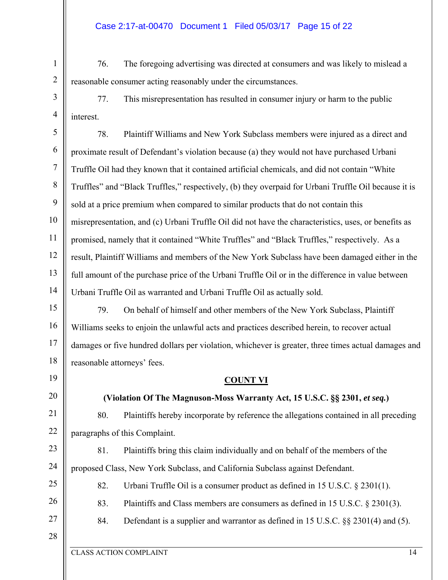## Case 2:17-at-00470 Document 1 Filed 05/03/17 Page 15 of 22

76. The foregoing advertising was directed at consumers and was likely to mislead a reasonable consumer acting reasonably under the circumstances.

77. This misrepresentation has resulted in consumer injury or harm to the public interest.

5 6 7 8 9 10 11 12 13 14 78. Plaintiff Williams and New York Subclass members were injured as a direct and proximate result of Defendant's violation because (a) they would not have purchased Urbani Truffle Oil had they known that it contained artificial chemicals, and did not contain "White Truffles" and "Black Truffles," respectively, (b) they overpaid for Urbani Truffle Oil because it is sold at a price premium when compared to similar products that do not contain this misrepresentation, and (c) Urbani Truffle Oil did not have the characteristics, uses, or benefits as promised, namely that it contained "White Truffles" and "Black Truffles," respectively. As a result, Plaintiff Williams and members of the New York Subclass have been damaged either in the full amount of the purchase price of the Urbani Truffle Oil or in the difference in value between Urbani Truffle Oil as warranted and Urbani Truffle Oil as actually sold.

15 16 17 18 79. On behalf of himself and other members of the New York Subclass, Plaintiff Williams seeks to enjoin the unlawful acts and practices described herein, to recover actual damages or five hundred dollars per violation, whichever is greater, three times actual damages and reasonable attorneys' fees.

19

1

2

3

4

20 21

22

23

24

25

26

27

80. Plaintiffs hereby incorporate by reference the allegations contained in all preceding

**COUNT VI** 

**(Violation Of The Magnuson-Moss Warranty Act, 15 U.S.C. §§ 2301,** *et seq.***)** 

paragraphs of this Complaint.

81. Plaintiffs bring this claim individually and on behalf of the members of the proposed Class, New York Subclass, and California Subclass against Defendant.

82. Urbani Truffle Oil is a consumer product as defined in 15 U.S.C. § 2301(1).

83. Plaintiffs and Class members are consumers as defined in 15 U.S.C. § 2301(3).

84. Defendant is a supplier and warrantor as defined in 15 U.S.C. §§ 2301(4) and (5).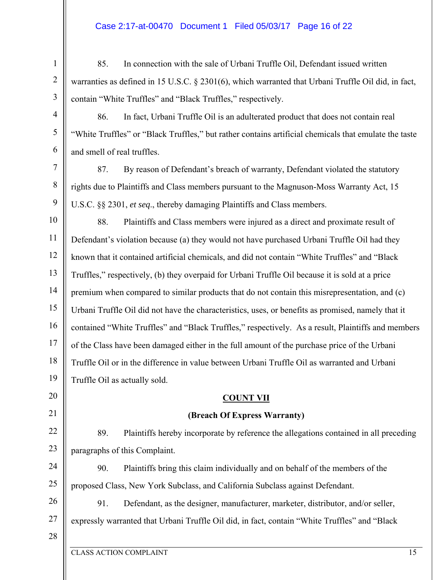## Case 2:17-at-00470 Document 1 Filed 05/03/17 Page 16 of 22

85. In connection with the sale of Urbani Truffle Oil, Defendant issued written warranties as defined in 15 U.S.C. § 2301(6), which warranted that Urbani Truffle Oil did, in fact, contain "White Truffles" and "Black Truffles," respectively.

86. In fact, Urbani Truffle Oil is an adulterated product that does not contain real "White Truffles" or "Black Truffles," but rather contains artificial chemicals that emulate the taste and smell of real truffles.

87. By reason of Defendant's breach of warranty, Defendant violated the statutory rights due to Plaintiffs and Class members pursuant to the Magnuson-Moss Warranty Act, 15 U.S.C. §§ 2301, *et seq*., thereby damaging Plaintiffs and Class members.

10 11 12 13 14 15 16 17 18 19 88. Plaintiffs and Class members were injured as a direct and proximate result of Defendant's violation because (a) they would not have purchased Urbani Truffle Oil had they known that it contained artificial chemicals, and did not contain "White Truffles" and "Black Truffles," respectively, (b) they overpaid for Urbani Truffle Oil because it is sold at a price premium when compared to similar products that do not contain this misrepresentation, and (c) Urbani Truffle Oil did not have the characteristics, uses, or benefits as promised, namely that it contained "White Truffles" and "Black Truffles," respectively. As a result, Plaintiffs and members of the Class have been damaged either in the full amount of the purchase price of the Urbani Truffle Oil or in the difference in value between Urbani Truffle Oil as warranted and Urbani Truffle Oil as actually sold.

#### **COUNT VII**

## **(Breach Of Express Warranty)**

22 23 89. Plaintiffs hereby incorporate by reference the allegations contained in all preceding paragraphs of this Complaint.

24 25 90. Plaintiffs bring this claim individually and on behalf of the members of the proposed Class, New York Subclass, and California Subclass against Defendant.

26 27 91. Defendant, as the designer, manufacturer, marketer, distributor, and/or seller, expressly warranted that Urbani Truffle Oil did, in fact, contain "White Truffles" and "Black

28

1

2

3

4

5

6

7

8

9

20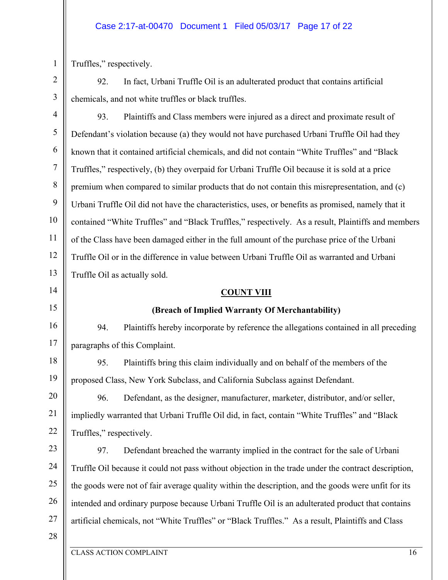#### Case 2:17-at-00470 Document 1 Filed 05/03/17 Page 17 of 22

Truffles," respectively.

1

2

3

14

15

16

17

92. In fact, Urbani Truffle Oil is an adulterated product that contains artificial chemicals, and not white truffles or black truffles.

4 5 6 7 8 9 10 11 12 13 93. Plaintiffs and Class members were injured as a direct and proximate result of Defendant's violation because (a) they would not have purchased Urbani Truffle Oil had they known that it contained artificial chemicals, and did not contain "White Truffles" and "Black Truffles," respectively, (b) they overpaid for Urbani Truffle Oil because it is sold at a price premium when compared to similar products that do not contain this misrepresentation, and (c) Urbani Truffle Oil did not have the characteristics, uses, or benefits as promised, namely that it contained "White Truffles" and "Black Truffles," respectively. As a result, Plaintiffs and members of the Class have been damaged either in the full amount of the purchase price of the Urbani Truffle Oil or in the difference in value between Urbani Truffle Oil as warranted and Urbani Truffle Oil as actually sold.

#### **COUNT VIII**

#### **(Breach of Implied Warranty Of Merchantability)**

94. Plaintiffs hereby incorporate by reference the allegations contained in all preceding paragraphs of this Complaint.

18 19 95. Plaintiffs bring this claim individually and on behalf of the members of the proposed Class, New York Subclass, and California Subclass against Defendant.

20 21 22 96. Defendant, as the designer, manufacturer, marketer, distributor, and/or seller, impliedly warranted that Urbani Truffle Oil did, in fact, contain "White Truffles" and "Black Truffles," respectively.

23 24 25 26 27 97. Defendant breached the warranty implied in the contract for the sale of Urbani Truffle Oil because it could not pass without objection in the trade under the contract description, the goods were not of fair average quality within the description, and the goods were unfit for its intended and ordinary purpose because Urbani Truffle Oil is an adulterated product that contains artificial chemicals, not "White Truffles" or "Black Truffles." As a result, Plaintiffs and Class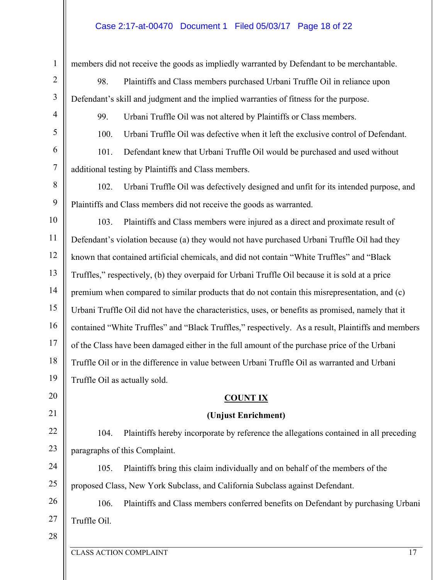## Case 2:17-at-00470 Document 1 Filed 05/03/17 Page 18 of 22

1 2 3 4 5 6 7 8 9 10 11 12 13 14 15 16 17 18 19 20 21 22 23 24 25 26 27 28 members did not receive the goods as impliedly warranted by Defendant to be merchantable. 98. Plaintiffs and Class members purchased Urbani Truffle Oil in reliance upon Defendant's skill and judgment and the implied warranties of fitness for the purpose. 99. Urbani Truffle Oil was not altered by Plaintiffs or Class members. 100. Urbani Truffle Oil was defective when it left the exclusive control of Defendant. 101. Defendant knew that Urbani Truffle Oil would be purchased and used without additional testing by Plaintiffs and Class members. 102. Urbani Truffle Oil was defectively designed and unfit for its intended purpose, and Plaintiffs and Class members did not receive the goods as warranted. 103. Plaintiffs and Class members were injured as a direct and proximate result of Defendant's violation because (a) they would not have purchased Urbani Truffle Oil had they known that contained artificial chemicals, and did not contain "White Truffles" and "Black Truffles," respectively, (b) they overpaid for Urbani Truffle Oil because it is sold at a price premium when compared to similar products that do not contain this misrepresentation, and (c) Urbani Truffle Oil did not have the characteristics, uses, or benefits as promised, namely that it contained "White Truffles" and "Black Truffles," respectively. As a result, Plaintiffs and members of the Class have been damaged either in the full amount of the purchase price of the Urbani Truffle Oil or in the difference in value between Urbani Truffle Oil as warranted and Urbani Truffle Oil as actually sold. **COUNT IX (Unjust Enrichment)**  104. Plaintiffs hereby incorporate by reference the allegations contained in all preceding paragraphs of this Complaint. 105. Plaintiffs bring this claim individually and on behalf of the members of the proposed Class, New York Subclass, and California Subclass against Defendant. 106. Plaintiffs and Class members conferred benefits on Defendant by purchasing Urbani Truffle Oil.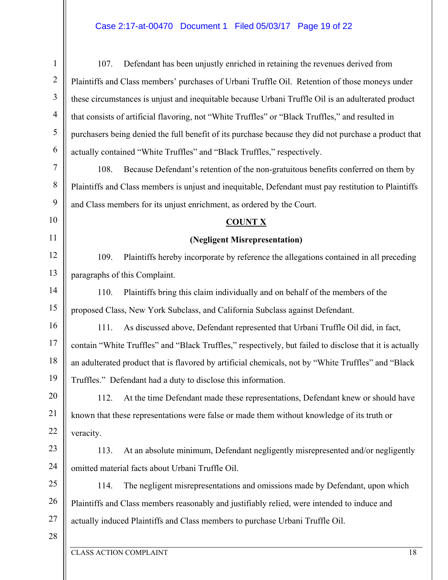# Case 2:17-at-00470 Document 1 Filed 05/03/17 Page 19 of 22

| $\mathbf{1}$     | Defendant has been unjustly enriched in retaining the revenues derived from<br>107.                     |
|------------------|---------------------------------------------------------------------------------------------------------|
| $\overline{2}$   | Plaintiffs and Class members' purchases of Urbani Truffle Oil. Retention of those moneys under          |
| 3                | these circumstances is unjust and inequitable because Urbani Truffle Oil is an adulterated product      |
| $\overline{4}$   | that consists of artificial flavoring, not "White Truffles" or "Black Truffles," and resulted in        |
| 5                | purchasers being denied the full benefit of its purchase because they did not purchase a product that   |
| 6                | actually contained "White Truffles" and "Black Truffles," respectively.                                 |
| $\boldsymbol{7}$ | 108.<br>Because Defendant's retention of the non-gratuitous benefits conferred on them by               |
| $\,8\,$          | Plaintiffs and Class members is unjust and inequitable, Defendant must pay restitution to Plaintiffs    |
| 9                | and Class members for its unjust enrichment, as ordered by the Court.                                   |
| 10               | <b>COUNT X</b>                                                                                          |
| 11               | (Negligent Misrepresentation)                                                                           |
| 12               | Plaintiffs hereby incorporate by reference the allegations contained in all preceding<br>109.           |
| 13               | paragraphs of this Complaint.                                                                           |
| 14               | Plaintiffs bring this claim individually and on behalf of the members of the<br>110.                    |
| 15               | proposed Class, New York Subclass, and California Subclass against Defendant.                           |
| 16               | 111.<br>As discussed above, Defendant represented that Urbani Truffle Oil did, in fact,                 |
| 17               | contain "White Truffles" and "Black Truffles," respectively, but failed to disclose that it is actually |
| 18               | an adulterated product that is flavored by artificial chemicals, not by "White Truffles" and "Black     |
| 19               | Truffles." Defendant had a duty to disclose this information.                                           |
| 20               | At the time Defendant made these representations, Defendant knew or should have<br>112.                 |
| 21               | known that these representations were false or made them without knowledge of its truth or              |
| 22               | veracity.                                                                                               |
| 23               | At an absolute minimum, Defendant negligently misrepresented and/or negligently<br>113.                 |
| 24               | omitted material facts about Urbani Truffle Oil.                                                        |
| 25               | The negligent misrepresentations and omissions made by Defendant, upon which<br>114.                    |
| 26               | Plaintiffs and Class members reasonably and justifiably relied, were intended to induce and             |
| 27               | actually induced Plaintiffs and Class members to purchase Urbani Truffle Oil.                           |
| 28               |                                                                                                         |
|                  | <b>CLASS ACTION COMPLAINT</b><br>18                                                                     |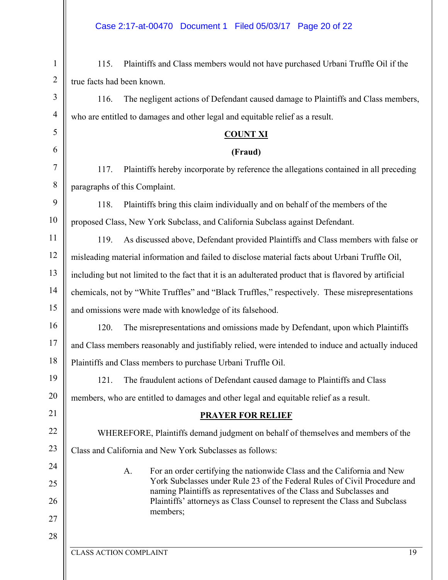| 1              | Plaintiffs and Class members would not have purchased Urbani Truffle Oil if the<br>115.                                                           |
|----------------|---------------------------------------------------------------------------------------------------------------------------------------------------|
| $\overline{2}$ | true facts had been known.                                                                                                                        |
| 3              | The negligent actions of Defendant caused damage to Plaintiffs and Class members,<br>116.                                                         |
| $\overline{4}$ | who are entitled to damages and other legal and equitable relief as a result.                                                                     |
| 5              | <b>COUNT XI</b>                                                                                                                                   |
| 6              | (Fraud)                                                                                                                                           |
| 7              | Plaintiffs hereby incorporate by reference the allegations contained in all preceding<br>117.                                                     |
| $\,8\,$        | paragraphs of this Complaint.                                                                                                                     |
| 9              | Plaintiffs bring this claim individually and on behalf of the members of the<br>118.                                                              |
| 10             | proposed Class, New York Subclass, and California Subclass against Defendant.                                                                     |
| 11             | As discussed above, Defendant provided Plaintiffs and Class members with false or<br>119.                                                         |
| 12             | misleading material information and failed to disclose material facts about Urbani Truffle Oil,                                                   |
| 13             | including but not limited to the fact that it is an adulterated product that is flavored by artificial                                            |
| 14             | chemicals, not by "White Truffles" and "Black Truffles," respectively. These misrepresentations                                                   |
| 15             | and omissions were made with knowledge of its falsehood.                                                                                          |
| 16             | The misrepresentations and omissions made by Defendant, upon which Plaintiffs<br>120.                                                             |
| 17             | and Class members reasonably and justifiably relied, were intended to induce and actually induced                                                 |
| 18             | Plaintiffs and Class members to purchase Urbani Truffle Oil.                                                                                      |
| 19             | The fraudulent actions of Defendant caused damage to Plaintiffs and Class<br>121.                                                                 |
| 20             | members, who are entitled to damages and other legal and equitable relief as a result.                                                            |
| 21             | <b>PRAYER FOR RELIEF</b>                                                                                                                          |
| 22             | WHEREFORE, Plaintiffs demand judgment on behalf of themselves and members of the                                                                  |
| 23             | Class and California and New York Subclasses as follows:                                                                                          |
| 24             | For an order certifying the nationwide Class and the California and New<br>A.                                                                     |
| 25             | York Subclasses under Rule 23 of the Federal Rules of Civil Procedure and<br>naming Plaintiffs as representatives of the Class and Subclasses and |
| 26             | Plaintiffs' attorneys as Class Counsel to represent the Class and Subclass<br>members;                                                            |
| 27             |                                                                                                                                                   |
| 28             |                                                                                                                                                   |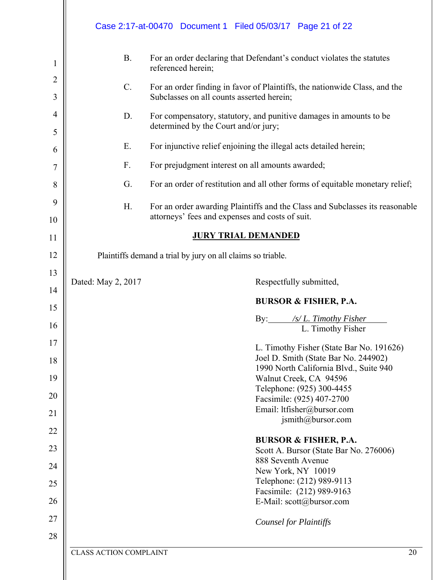|                                    |                                   | Case 2:17-at-00470 Document 1 Filed 05/03/17 Page 21 of 22                                                                                                                                                                                                                                                                           |
|------------------------------------|-----------------------------------|--------------------------------------------------------------------------------------------------------------------------------------------------------------------------------------------------------------------------------------------------------------------------------------------------------------------------------------|
| 1<br>2<br>3<br>$\overline{4}$<br>5 | <b>B.</b><br>$\mathbf{C}$ .<br>D. | For an order declaring that Defendant's conduct violates the statutes<br>referenced herein;<br>For an order finding in favor of Plaintiffs, the nationwide Class, and the<br>Subclasses on all counts asserted herein;<br>For compensatory, statutory, and punitive damages in amounts to be<br>determined by the Court and/or jury; |
| 6                                  | Ε.                                | For injunctive relief enjoining the illegal acts detailed herein;                                                                                                                                                                                                                                                                    |
| 7                                  | F.                                | For prejudgment interest on all amounts awarded;                                                                                                                                                                                                                                                                                     |
| 8                                  | G.                                | For an order of restitution and all other forms of equitable monetary relief;                                                                                                                                                                                                                                                        |
| 9                                  | Η.                                | For an order awarding Plaintiffs and the Class and Subclasses its reasonable                                                                                                                                                                                                                                                         |
| 10                                 |                                   | attorneys' fees and expenses and costs of suit.                                                                                                                                                                                                                                                                                      |
| 11                                 |                                   | <b>JURY TRIAL DEMANDED</b>                                                                                                                                                                                                                                                                                                           |
| 12                                 |                                   | Plaintiffs demand a trial by jury on all claims so triable.                                                                                                                                                                                                                                                                          |
| 13                                 | Dated: May 2, 2017                | Respectfully submitted,                                                                                                                                                                                                                                                                                                              |
|                                    |                                   |                                                                                                                                                                                                                                                                                                                                      |
| 14                                 |                                   |                                                                                                                                                                                                                                                                                                                                      |
| 15                                 |                                   | <b>BURSOR &amp; FISHER, P.A.</b>                                                                                                                                                                                                                                                                                                     |
| 16                                 |                                   | By: $\frac{\text{S}}{\text{S}}$ /s/ L. Timothy Fisher                                                                                                                                                                                                                                                                                |
| 17                                 |                                   | L. Timothy Fisher                                                                                                                                                                                                                                                                                                                    |
| 18                                 |                                   | L. Timothy Fisher (State Bar No. 191626)<br>Joel D. Smith (State Bar No. 244902)                                                                                                                                                                                                                                                     |
| 19                                 |                                   | 1990 North California Blvd., Suite 940<br>Walnut Creek, CA 94596                                                                                                                                                                                                                                                                     |
|                                    |                                   | Telephone: (925) 300-4455                                                                                                                                                                                                                                                                                                            |
| 20                                 |                                   | Facsimile: (925) 407-2700                                                                                                                                                                                                                                                                                                            |
| 21                                 |                                   | Email: ltfisher@bursor.com<br>jsmith@bursor.com                                                                                                                                                                                                                                                                                      |
| 22                                 |                                   | <b>BURSOR &amp; FISHER, P.A.</b>                                                                                                                                                                                                                                                                                                     |
| 23                                 |                                   | Scott A. Bursor (State Bar No. 276006)                                                                                                                                                                                                                                                                                               |
| 24                                 |                                   | 888 Seventh Avenue<br>New York, NY 10019                                                                                                                                                                                                                                                                                             |
| 25                                 |                                   | Telephone: (212) 989-9113                                                                                                                                                                                                                                                                                                            |
| 26                                 |                                   | Facsimile: (212) 989-9163<br>E-Mail: scott@bursor.com                                                                                                                                                                                                                                                                                |
| 27                                 |                                   | <b>Counsel for Plaintiffs</b>                                                                                                                                                                                                                                                                                                        |
| 28                                 |                                   |                                                                                                                                                                                                                                                                                                                                      |
|                                    | <b>CLASS ACTION COMPLAINT</b>     | 20                                                                                                                                                                                                                                                                                                                                   |